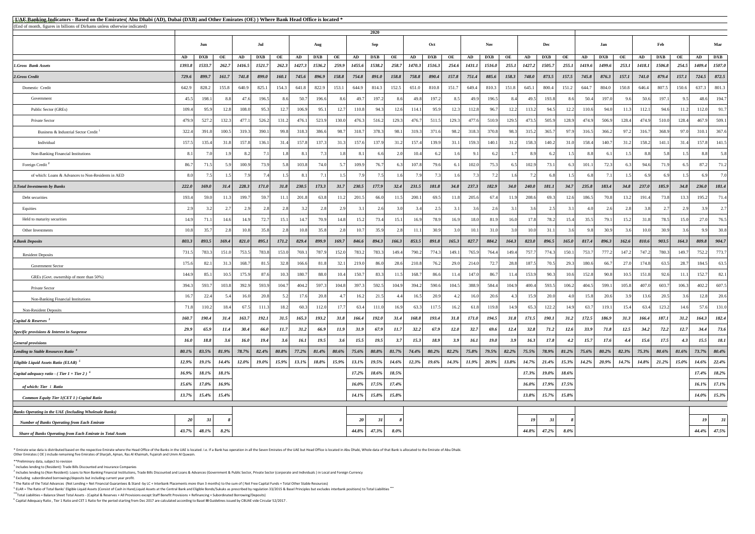<sup>5</sup> ELAR = The Ratio of Total Banks' Eligible Liquid Assets (Consist of Cash in Hand,Liquid Assets at the Central Bank and Eligible Bonds/Sukuks as prescribed by regulation 33/2015 & Basel Principles but excludes interbank **\*\*\***Total Liabilities = Balance Sheet Total Assets - (Capital & Reserves + All Provisions except Staff Benefit Provisions + Refinancing + Subordinated Borrowing/Deposits)

\* Emirate wise data is distributed based on the respective Emirate where the Head Office of the Banks in the UAE is located. I.e. If a Bank has operation in all the Seven Emirates of the UAE but Head Office is located in A Other Emirates ( OE ) include remaining five Emirates of Sharjah, Ajman, Ras Al Khaimah, Fujairah and Umm Al Quwain.

| (End of month, figures in billions of Dirhams unless otherwise indicated)<br>2020<br>Feb<br>Jul<br><b>Nov</b><br>Mar<br>Dec<br>Sep<br>Oct<br>Jan<br>Aug<br>Jun<br><b>DXB</b><br><b>DXB</b><br>OE<br><b>DXB</b><br><b>DXB</b><br><b>DXB</b><br><b>DXB</b><br><b>DXB</b><br><b>DXB</b><br>OE<br><b>DXB</b><br>OE<br>OE<br>OE<br><b>DXB</b><br>OE<br>OE<br>OE<br>AD<br>AD<br>AD<br>AD<br>OE<br>AD<br>AD<br>AD<br>AD<br>AD<br>AD<br>1507.0<br>259.9<br>1455.6<br>1538.2<br>258.7<br>1470.3<br>254.6<br>255.1<br>255.1<br>1409.4<br><b>1.Gross Bank Assets</b><br>1533.7<br>262.7<br>1521.7<br>262.3<br>1427.3<br>1536.2<br>1516.3<br><b>1431.1</b><br>1516.0<br>1427.2<br>1505.7<br>1499.6<br>253.1<br>1506.8<br>254.5<br>1416.5<br><i>1419.6</i><br><b>1418.1</b><br>1393.8<br>872.5<br>899.0<br><b>160.1</b><br>745.6<br>896.9<br>754.8<br>891.0<br>899.7<br>161.7<br>741.8<br>158.8<br>158.8<br>758.8<br>890.4<br>157.8<br>751.4<br>158.3<br>748.0<br>157.5<br>879.4<br>157.1<br>724.5<br>729.6<br>885.6<br>873.5<br>745.8<br>876.3<br>157.1<br>741.0<br>Domestic Credit<br>825.1<br>822.9<br>807.5<br>637.3<br>801.3<br>155.8<br>640.9<br>154.3<br>641.8<br>153.1<br>644.9<br>814.3<br>152.5<br>651.0<br>810.8<br>151.7<br>810.3<br>151.8<br>800.4<br>151.2<br>804.0<br>150.8<br>646.4<br>828.2<br>649.4<br>645.1<br>644.7<br>150.6<br>642.9<br>197.2<br>197.1<br>194.7<br>47.6<br>196.5<br>50.7<br>197.2<br>50.4<br>197.0<br>50.6<br>48.6<br>45.5<br>198.1<br>196.6<br>49.7<br>8.6<br>49.8<br>49.5<br>193.8<br>Government<br>86<br>8.6<br>8.5<br>49.9<br>196.5<br>8.4<br>961<br>95<br>8.6<br>95.3<br>12.7<br>91.7<br>109.4<br>12.8<br>108.0<br>106.9<br>95.1<br>12.7<br>110.8<br>94.3<br>95.9<br>112.1<br>94.6<br>112.0<br>Public Sector (GREs)<br>95.9<br>12.6<br>114.1<br>112.8<br>96.7<br>113.2<br>94.5<br>12.2<br>110.6<br>94.0<br>11.3<br>11.2<br>12.3<br>12.2<br>527.2<br>132.3<br>477.<br>523.9<br>130.0<br>476.3<br>516.2<br>129.3<br>476.7<br>477.6<br>473.5<br>505.9<br>506.9<br>128.4<br>474.9<br>128.4<br>467.9<br>509.1<br>526.2<br>131.2<br>476.1<br>511.5<br>129.3<br>129.5<br>128.9<br>474.9<br>510.0<br>Private Sector<br>479.9<br>510.9<br>318.3<br>386.6<br>378.3<br>370.8<br>367.6<br>322.4<br>391.8<br>100.5<br>319.3<br>390.1<br>99.8<br>98.7<br>318.7<br>98.1<br>319.3<br>371.6<br>98.2<br>318.3<br>98.3<br>365.7<br>316.5<br>366.2<br>97.2<br>316.7<br>368.9<br>97.0<br>310.1<br>Business & Industrial Sector Credit <sup>1</sup><br>315.2<br>97.9<br>137.3<br>157.6<br>137.9<br>157.8<br>Individual<br>157.5<br>135.4<br>157.8<br>136.1<br>157.8<br>31.3<br>157.4<br>139.9<br>158.2<br>141.5<br>31.8<br>31.4<br>31.2<br>159.3<br>158.4<br>140.7<br>31.2<br>141.1<br>31.4<br>31.1<br>140.1<br>158.3<br>140.2<br>31.0<br>31.2<br>7.1<br>7 <sub>2</sub><br>8.2<br>8.1<br>10.4<br>8.8<br>5.8<br>8.1<br>9.1<br>Non-Banking Financial Institutions<br>8.1<br>6.2<br>73.9<br>74.0<br>Foreign Credit <sup>2</sup><br>86.7<br>100.9<br>103.8<br>109.9<br>76.7<br>107.8<br>79.6<br>75.3<br>73.1<br>72.3<br>94.6<br>71.9<br>87.2<br>71.2<br>5.8<br>102.0<br>102.9<br>101.1<br>6.51<br>6.1<br>7.9<br>7.0<br>$7\Delta$<br>8.1<br>75<br>7.3<br>7.3<br>of which: Loans & Advances to Non-Residents in AED<br>69<br>8.0<br>181.4<br><b>222.0</b><br>228.3<br><i>171.0</i><br>230.5<br>173.3<br>31.7<br>230.5<br>177.9<br>32.4<br>237.3<br>182.9<br><b>240.0</b><br>34.7<br>237.0<br>185.9<br>34.8<br>236.0<br><b>169.0</b><br>31.4<br>231.5<br><i>181.8</i><br>34.8<br><b>34.0</b><br><i><b>181.1</b></i><br>235.8<br>183.4<br>34.8<br>31.8<br>201.8<br>201.5<br>200.1<br>Debt securities<br>193.4<br>199.7<br>59.7<br>63.8<br>66.0<br>69.5<br>205.6<br>67.4<br>208.6<br>69.3<br>186.5<br>70.8<br>13.2<br>191.4<br>73.8<br>13.3<br>195.2<br>71.4<br>59.0<br>11.2<br>12.6<br>11.3<br>11.<br>11.5<br>11.8<br>11.9<br>2.7<br>Equities<br>2.5<br>2.7<br>2.9<br>2.9<br>2.8<br>2.8<br>2.8<br>2.6<br>3.0<br>2.5<br>3.9<br>2.6<br>70.9<br>15.2<br>73.4<br>15.1<br>78.9<br>78.2<br>27.0<br>Held to maturity securities<br>72.7<br>15.1<br>14.7<br>14.8<br>16.9<br>81.9<br>15.4<br>35.5<br>79.1<br>15.2<br>31.8<br>78.5<br>15.0<br>76.5<br>14.9<br>14.6<br>14.9<br>16.9<br>18.0<br>17.8<br>71.<br>16.0<br>35.9<br>30.8<br>35.8<br>35.8<br>10.7<br>30.9<br>30.9<br>10.0<br>30.9<br>10.8<br>10.8<br>10.8<br>9.9<br>2.8<br>11.1<br>10.1<br>10 <sub>c</sub><br>31.1<br>Other Investments<br>31.0<br>904.7<br>829.4<br>899.9<br>846.6<br>894.3<br>809.8<br>821.0<br>895.1<br><i>171.2</i><br>169.7<br>166.3<br>853.5<br>891.8<br>165.3<br>827.7<br>884.2<br>823.0<br>896.5<br>165.0<br>817.4<br>896.3<br>903.5<br><b>4. Bank Deposits</b><br>803.3<br>893.5<br>169.4<br>164.3<br>162.6<br>810.6<br>164.3<br>773.7<br>787.9<br>783.2<br>783.3<br>777.2<br>147.2<br>747.2<br>752.2<br>783.3<br>151.0<br>753.5<br>783.8<br>153.0<br>769.1<br>152.0<br>149.4<br>790.2<br>774.3<br>765.9<br>764.4<br>757.7<br>774.3<br>753.7<br>780.3<br>731.5<br>149.1<br>149.4<br>150.1<br>149.7<br><b>Resident Deposits</b><br>32.1<br>219.0<br>32.8<br>86.0<br>28.6<br>210.8<br>29.0<br>29.3<br>27.0<br>174.8<br>28.7<br>184.5<br>63.5<br>175.6<br>168.7<br>166.6<br>81.8<br>76.2<br>214.0<br>72.7<br>28.8<br>187.5<br>70.5<br>180.6<br>66.7<br>63.5<br>82.1<br>31.3<br>81.5<br><b>Government Sector</b><br>175.9<br>87.6<br>180.7<br>150.7<br>83.3<br>168.7<br>152.8<br>151.8<br>92.6<br>152.7<br>82.1<br>144.9<br>10.5<br>10.3<br>88.0<br>10.4<br>86.6<br>147.0<br>86.7<br>90.3<br>10.6<br>90.8<br>10.5<br>85.1<br>11.5<br>153.9<br>11.1<br><b>11.4</b><br>11.4<br>GREs (Govt. ownership of more than 50%)<br>397.3<br>607.5<br>597.3<br>592.5<br>104.9<br>394.2<br>590.6<br>402.2<br>103.8<br>392.9<br>593.9<br>404.2<br>104.8<br>104.5<br>388.9<br>400.4<br>593.5<br>599.1<br>105.8<br>407.0<br>603.7<br>106.3<br>394.3<br>593.7<br>104.7<br>584.4<br>106.2<br>404.5<br>104.9<br>Private Sector<br>20.8<br>17.6<br>20.8<br>21.5<br>20.9<br>20.6<br>20.0<br>20.6<br>13.6<br>20.5<br>12.8<br>20.6<br>16.7<br>22.4<br>16.0<br>16.2<br>16.5<br>15.8<br>16.0<br>15.9<br>Non-Banking Financial Institutions<br>57.6<br>131.0<br>110.2<br>67.5<br>111.3<br>112.0<br>17.7<br>63.4<br>111.0<br>63.3<br>117.5<br>123.2<br>71.8<br>18.4<br>18.2<br>60.3<br>16.9<br>122.2<br>63.7<br>119.1<br>15.4<br>63.4<br>16.2<br>61.8<br>119.8<br>65.3<br>14.9<br>14.6<br><b>Non-Resident Deposits</b><br>193.2<br>166.4<br>192.0<br>193.4<br><b>190.1</b><br>172.5<br>164.3<br>182.4<br>163.7<br>192.1<br>165.3<br>31.4<br>168.8<br>171.0<br>194.5<br>31.8<br>171.5<br>31.2<br>186.9<br>31.3<br>187.1<br>160.7<br>190.4<br>31.5<br>31.8<br>31.8<br>166.4<br>31.2<br>31.4<br>29.9<br>30.4<br>67.9<br>32.2<br>67.9<br>32.7<br>32.8<br>71.2<br>33.9<br>71.8<br>12.5<br>34.2<br>72.2<br>12.7<br>34.4<br>73.6<br>65.9<br>66.0<br>31.2<br>66.9<br>11.9<br>31.9<br>11.7<br><b>12.0</b><br>69.6<br><b>12.4</b><br>12.6<br>11.7<br>15.5<br>19.5<br>15.3<br>15.7<br><b>18.1</b><br><b>19.4</b><br><b>16.1</b><br><b>19.5</b><br>3.7<br><b>18.9</b><br>16.1<br>19.0<br>16.3<br>17.8<br>17.6<br>15.6<br>17.5<br>15.5<br><b>16.0</b><br><b>16.0</b><br>3.6<br>3.9<br>4.2<br>4.3<br>18.8<br>3.6<br>3.9<br>3.6<br>4.4<br>$80.8\%$<br>$79.5\%$<br>78.9%<br>$80.2\%$<br>$80.1\%$<br>83.5%<br>$81.9\%$<br>78.7%<br>$82.4\%$<br>$80.8\%$<br>$77.2\%$<br>$80.6\%$<br>$75.6\%$<br>$81.7\%$<br>$80.2\%$<br>$82.2\%$<br>$75.8\%$<br>$82.2\%$<br>$75.5\%$<br>$75.6\%$<br>$82.3\%$<br>$75.3\%$<br>80.6%<br>73.7% 80.4%<br>$81.4\%$<br>$74.4\%$<br>$81.2\%$<br>$81.6\%$<br>$20.9\%$<br>12.0%<br>19.0%<br>15.9%<br>13.1%<br>18.8%<br>$15.9\%$<br>19.5%<br>$14.6\%$<br>12.3%<br>13.8%<br>14.7%<br>15.3%<br>$14.2\%$<br>$20.9\%$<br>$14.7\%$<br>$21.2\%$<br>15.0%<br>14.6% 22.4%<br>19.1%<br>14.4%<br>$13.1\%$<br>$19.6\%$<br>14.3%<br>$11.9\%$<br>$21.4\%$<br>$14.8\%$<br>12.9%<br>18.6%<br>18.2%<br>18.1%<br>18.1%<br>18.6%<br>18.5%<br>19.0%<br>$17.4\%$<br>16.9%<br>$17.2\%$<br>17.3%<br>17.0%<br>16.9%<br>17.5%<br>17.4%<br>17.5%<br>17.1%<br>15.6%<br>$16.0\%$<br>17.9%<br>$16.1\%$<br>16.0%<br>of which: Tier 1 Ratio<br>15.8%<br>15.3%<br>13.7%<br>15.4%<br>15.4%<br>$14.1\%$<br>$15.8\%$<br>$15.8\%$<br>$15.7\%$<br>13.8%<br>$14.0\%$<br><b>Common Equity Tier 1(CET 1) Capital Ratio</b><br><b>Banks Operating in the UAE (Including Wholesale Banks)</b><br>20 <sup>°</sup><br>31<br>20<br>31<br>19<br>31<br>19<br><b>Number of Banks Operating from Each Emirate</b><br>44.8%<br>$8.0\%$<br>44.4% 47.5%<br>43.7%<br>48.1%<br>$8.2\%$<br>47.3%<br>47.2%<br>$8.0\%$<br>44.8%<br><b>Share of Banks Operating from Each Emirate in Total Assets</b> | <b>EUAE Banking Indicators - Based on the Emirates</b> (Abu Dhabi (AD), Dubai (DXB) and Other Emirates (OE)) Where Bank Head Office is located * |  |  |  |  |  |  |  |  |  |  |  |  |  |  |  |  |  |  |  |  |  |  |  |  |
|----------------------------------------------------------------------------------------------------------------------------------------------------------------------------------------------------------------------------------------------------------------------------------------------------------------------------------------------------------------------------------------------------------------------------------------------------------------------------------------------------------------------------------------------------------------------------------------------------------------------------------------------------------------------------------------------------------------------------------------------------------------------------------------------------------------------------------------------------------------------------------------------------------------------------------------------------------------------------------------------------------------------------------------------------------------------------------------------------------------------------------------------------------------------------------------------------------------------------------------------------------------------------------------------------------------------------------------------------------------------------------------------------------------------------------------------------------------------------------------------------------------------------------------------------------------------------------------------------------------------------------------------------------------------------------------------------------------------------------------------------------------------------------------------------------------------------------------------------------------------------------------------------------------------------------------------------------------------------------------------------------------------------------------------------------------------------------------------------------------------------------------------------------------------------------------------------------------------------------------------------------------------------------------------------------------------------------------------------------------------------------------------------------------------------------------------------------------------------------------------------------------------------------------------------------------------------------------------------------------------------------------------------------------------------------------------------------------------------------------------------------------------------------------------------------------------------------------------------------------------------------------------------------------------------------------------------------------------------------------------------------------------------------------------------------------------------------------------------------------------------------------------------------------------------------------------------------------------------------------------------------------------------------------------------------------------------------------------------------------------------------------------------------------------------------------------------------------------------------------------------------------------------------------------------------------------------------------------------------------------------------------------------------------------------------------------------------------------------------------------------------------------------------------------------------------------------------------------------------------------------------------------------------------------------------------------------------------------------------------------------------------------------------------------------------------------------------------------------------------------------------------------------------------------------------------------------------------------------------------------------------------------------------------------------------------------------------------------------------------------------------------------------------------------------------------------------------------------------------------------------------------------------------------------------------------------------------------------------------------------------------------------------------------------------------------------------------------------------------------------------------------------------------------------------------------------------------------------------------------------------------------------------------------------------------------------------------------------------------------------------------------------------------------------------------------------------------------------------------------------------------------------------------------------------------------------------------------------------------------------------------------------------------------------------------------------------------------------------------------------------------------------------------------------------------------------------------------------------------------------------------------------------------------------------------------------------------------------------------------------------------------------------------------------------------------------------------------------------------------------------------------------------------------------------------------------------------------------------------------------------------------------------------------------------------------------------------------------------------------------------------------------------------------------------------------------------------------------------------------------------------------------------------------------------------------------------------------------------------------------------------------------------------------------------------------------------------------------------------------------------------------------------------------------------------------------------------------------------------------------------------------------------------------------------------------------------------------------------------------------------------------------------------------------------------------------------------------------------------------------------------------------------------------------------------------------------------------------------------------------------------------------------------------------------------------------------------------------------------------------------------------------------------------------------------------------------------------------------------------------------------------------------------------------------------------------------------------------------------------------------------------------------------------------------------------------------------------------------------------------------------------------------------------------------------------------------------------------------------------------------------------------------------------------------------------------------------------------------------------------------------------------------------------------------------------------------------------------------------------------------------------------------------------------------------------------------------------------------------------------------------------------------------------------------------------------------------------------------------------------------------------------------------------------------------------------------------------------------------------------------------------------------------------------------------------------------------------------------------------------------------------------------------------------------------------------------------------------------------------------------------------------------------------------------------------------------------------------------------------------------------------------------------------------------------------------------------------|--------------------------------------------------------------------------------------------------------------------------------------------------|--|--|--|--|--|--|--|--|--|--|--|--|--|--|--|--|--|--|--|--|--|--|--|--|
|                                                                                                                                                                                                                                                                                                                                                                                                                                                                                                                                                                                                                                                                                                                                                                                                                                                                                                                                                                                                                                                                                                                                                                                                                                                                                                                                                                                                                                                                                                                                                                                                                                                                                                                                                                                                                                                                                                                                                                                                                                                                                                                                                                                                                                                                                                                                                                                                                                                                                                                                                                                                                                                                                                                                                                                                                                                                                                                                                                                                                                                                                                                                                                                                                                                                                                                                                                                                                                                                                                                                                                                                                                                                                                                                                                                                                                                                                                                                                                                                                                                                                                                                                                                                                                                                                                                                                                                                                                                                                                                                                                                                                                                                                                                                                                                                                                                                                                                                                                                                                                                                                                                                                                                                                                                                                                                                                                                                                                                                                                                                                                                                                                                                                                                                                                                                                                                                                                                                                                                                                                                                                                                                                                                                                                                                                                                                                                                                                                                                                                                                                                                                                                                                                                                                                                                                                                                                                                                                                                                                                                                                                                                                                                                                                                                                                                                                                                                                                                                                                                                                                                                                                                                                                                                                                                                                                                                                                                                                                                                                                                                                                                                                                                                                                                                                                                                                                                                                                                                                                                                                                                                        |                                                                                                                                                  |  |  |  |  |  |  |  |  |  |  |  |  |  |  |  |  |  |  |  |  |  |  |  |  |
|                                                                                                                                                                                                                                                                                                                                                                                                                                                                                                                                                                                                                                                                                                                                                                                                                                                                                                                                                                                                                                                                                                                                                                                                                                                                                                                                                                                                                                                                                                                                                                                                                                                                                                                                                                                                                                                                                                                                                                                                                                                                                                                                                                                                                                                                                                                                                                                                                                                                                                                                                                                                                                                                                                                                                                                                                                                                                                                                                                                                                                                                                                                                                                                                                                                                                                                                                                                                                                                                                                                                                                                                                                                                                                                                                                                                                                                                                                                                                                                                                                                                                                                                                                                                                                                                                                                                                                                                                                                                                                                                                                                                                                                                                                                                                                                                                                                                                                                                                                                                                                                                                                                                                                                                                                                                                                                                                                                                                                                                                                                                                                                                                                                                                                                                                                                                                                                                                                                                                                                                                                                                                                                                                                                                                                                                                                                                                                                                                                                                                                                                                                                                                                                                                                                                                                                                                                                                                                                                                                                                                                                                                                                                                                                                                                                                                                                                                                                                                                                                                                                                                                                                                                                                                                                                                                                                                                                                                                                                                                                                                                                                                                                                                                                                                                                                                                                                                                                                                                                                                                                                                                                        |                                                                                                                                                  |  |  |  |  |  |  |  |  |  |  |  |  |  |  |  |  |  |  |  |  |  |  |  |  |
|                                                                                                                                                                                                                                                                                                                                                                                                                                                                                                                                                                                                                                                                                                                                                                                                                                                                                                                                                                                                                                                                                                                                                                                                                                                                                                                                                                                                                                                                                                                                                                                                                                                                                                                                                                                                                                                                                                                                                                                                                                                                                                                                                                                                                                                                                                                                                                                                                                                                                                                                                                                                                                                                                                                                                                                                                                                                                                                                                                                                                                                                                                                                                                                                                                                                                                                                                                                                                                                                                                                                                                                                                                                                                                                                                                                                                                                                                                                                                                                                                                                                                                                                                                                                                                                                                                                                                                                                                                                                                                                                                                                                                                                                                                                                                                                                                                                                                                                                                                                                                                                                                                                                                                                                                                                                                                                                                                                                                                                                                                                                                                                                                                                                                                                                                                                                                                                                                                                                                                                                                                                                                                                                                                                                                                                                                                                                                                                                                                                                                                                                                                                                                                                                                                                                                                                                                                                                                                                                                                                                                                                                                                                                                                                                                                                                                                                                                                                                                                                                                                                                                                                                                                                                                                                                                                                                                                                                                                                                                                                                                                                                                                                                                                                                                                                                                                                                                                                                                                                                                                                                                                                        |                                                                                                                                                  |  |  |  |  |  |  |  |  |  |  |  |  |  |  |  |  |  |  |  |  |  |  |  |  |
|                                                                                                                                                                                                                                                                                                                                                                                                                                                                                                                                                                                                                                                                                                                                                                                                                                                                                                                                                                                                                                                                                                                                                                                                                                                                                                                                                                                                                                                                                                                                                                                                                                                                                                                                                                                                                                                                                                                                                                                                                                                                                                                                                                                                                                                                                                                                                                                                                                                                                                                                                                                                                                                                                                                                                                                                                                                                                                                                                                                                                                                                                                                                                                                                                                                                                                                                                                                                                                                                                                                                                                                                                                                                                                                                                                                                                                                                                                                                                                                                                                                                                                                                                                                                                                                                                                                                                                                                                                                                                                                                                                                                                                                                                                                                                                                                                                                                                                                                                                                                                                                                                                                                                                                                                                                                                                                                                                                                                                                                                                                                                                                                                                                                                                                                                                                                                                                                                                                                                                                                                                                                                                                                                                                                                                                                                                                                                                                                                                                                                                                                                                                                                                                                                                                                                                                                                                                                                                                                                                                                                                                                                                                                                                                                                                                                                                                                                                                                                                                                                                                                                                                                                                                                                                                                                                                                                                                                                                                                                                                                                                                                                                                                                                                                                                                                                                                                                                                                                                                                                                                                                                                        |                                                                                                                                                  |  |  |  |  |  |  |  |  |  |  |  |  |  |  |  |  |  |  |  |  |  |  |  |  |
|                                                                                                                                                                                                                                                                                                                                                                                                                                                                                                                                                                                                                                                                                                                                                                                                                                                                                                                                                                                                                                                                                                                                                                                                                                                                                                                                                                                                                                                                                                                                                                                                                                                                                                                                                                                                                                                                                                                                                                                                                                                                                                                                                                                                                                                                                                                                                                                                                                                                                                                                                                                                                                                                                                                                                                                                                                                                                                                                                                                                                                                                                                                                                                                                                                                                                                                                                                                                                                                                                                                                                                                                                                                                                                                                                                                                                                                                                                                                                                                                                                                                                                                                                                                                                                                                                                                                                                                                                                                                                                                                                                                                                                                                                                                                                                                                                                                                                                                                                                                                                                                                                                                                                                                                                                                                                                                                                                                                                                                                                                                                                                                                                                                                                                                                                                                                                                                                                                                                                                                                                                                                                                                                                                                                                                                                                                                                                                                                                                                                                                                                                                                                                                                                                                                                                                                                                                                                                                                                                                                                                                                                                                                                                                                                                                                                                                                                                                                                                                                                                                                                                                                                                                                                                                                                                                                                                                                                                                                                                                                                                                                                                                                                                                                                                                                                                                                                                                                                                                                                                                                                                                                        | 2.Gross Credit                                                                                                                                   |  |  |  |  |  |  |  |  |  |  |  |  |  |  |  |  |  |  |  |  |  |  |  |  |
|                                                                                                                                                                                                                                                                                                                                                                                                                                                                                                                                                                                                                                                                                                                                                                                                                                                                                                                                                                                                                                                                                                                                                                                                                                                                                                                                                                                                                                                                                                                                                                                                                                                                                                                                                                                                                                                                                                                                                                                                                                                                                                                                                                                                                                                                                                                                                                                                                                                                                                                                                                                                                                                                                                                                                                                                                                                                                                                                                                                                                                                                                                                                                                                                                                                                                                                                                                                                                                                                                                                                                                                                                                                                                                                                                                                                                                                                                                                                                                                                                                                                                                                                                                                                                                                                                                                                                                                                                                                                                                                                                                                                                                                                                                                                                                                                                                                                                                                                                                                                                                                                                                                                                                                                                                                                                                                                                                                                                                                                                                                                                                                                                                                                                                                                                                                                                                                                                                                                                                                                                                                                                                                                                                                                                                                                                                                                                                                                                                                                                                                                                                                                                                                                                                                                                                                                                                                                                                                                                                                                                                                                                                                                                                                                                                                                                                                                                                                                                                                                                                                                                                                                                                                                                                                                                                                                                                                                                                                                                                                                                                                                                                                                                                                                                                                                                                                                                                                                                                                                                                                                                                                        |                                                                                                                                                  |  |  |  |  |  |  |  |  |  |  |  |  |  |  |  |  |  |  |  |  |  |  |  |  |
|                                                                                                                                                                                                                                                                                                                                                                                                                                                                                                                                                                                                                                                                                                                                                                                                                                                                                                                                                                                                                                                                                                                                                                                                                                                                                                                                                                                                                                                                                                                                                                                                                                                                                                                                                                                                                                                                                                                                                                                                                                                                                                                                                                                                                                                                                                                                                                                                                                                                                                                                                                                                                                                                                                                                                                                                                                                                                                                                                                                                                                                                                                                                                                                                                                                                                                                                                                                                                                                                                                                                                                                                                                                                                                                                                                                                                                                                                                                                                                                                                                                                                                                                                                                                                                                                                                                                                                                                                                                                                                                                                                                                                                                                                                                                                                                                                                                                                                                                                                                                                                                                                                                                                                                                                                                                                                                                                                                                                                                                                                                                                                                                                                                                                                                                                                                                                                                                                                                                                                                                                                                                                                                                                                                                                                                                                                                                                                                                                                                                                                                                                                                                                                                                                                                                                                                                                                                                                                                                                                                                                                                                                                                                                                                                                                                                                                                                                                                                                                                                                                                                                                                                                                                                                                                                                                                                                                                                                                                                                                                                                                                                                                                                                                                                                                                                                                                                                                                                                                                                                                                                                                                        |                                                                                                                                                  |  |  |  |  |  |  |  |  |  |  |  |  |  |  |  |  |  |  |  |  |  |  |  |  |
|                                                                                                                                                                                                                                                                                                                                                                                                                                                                                                                                                                                                                                                                                                                                                                                                                                                                                                                                                                                                                                                                                                                                                                                                                                                                                                                                                                                                                                                                                                                                                                                                                                                                                                                                                                                                                                                                                                                                                                                                                                                                                                                                                                                                                                                                                                                                                                                                                                                                                                                                                                                                                                                                                                                                                                                                                                                                                                                                                                                                                                                                                                                                                                                                                                                                                                                                                                                                                                                                                                                                                                                                                                                                                                                                                                                                                                                                                                                                                                                                                                                                                                                                                                                                                                                                                                                                                                                                                                                                                                                                                                                                                                                                                                                                                                                                                                                                                                                                                                                                                                                                                                                                                                                                                                                                                                                                                                                                                                                                                                                                                                                                                                                                                                                                                                                                                                                                                                                                                                                                                                                                                                                                                                                                                                                                                                                                                                                                                                                                                                                                                                                                                                                                                                                                                                                                                                                                                                                                                                                                                                                                                                                                                                                                                                                                                                                                                                                                                                                                                                                                                                                                                                                                                                                                                                                                                                                                                                                                                                                                                                                                                                                                                                                                                                                                                                                                                                                                                                                                                                                                                                                        |                                                                                                                                                  |  |  |  |  |  |  |  |  |  |  |  |  |  |  |  |  |  |  |  |  |  |  |  |  |
|                                                                                                                                                                                                                                                                                                                                                                                                                                                                                                                                                                                                                                                                                                                                                                                                                                                                                                                                                                                                                                                                                                                                                                                                                                                                                                                                                                                                                                                                                                                                                                                                                                                                                                                                                                                                                                                                                                                                                                                                                                                                                                                                                                                                                                                                                                                                                                                                                                                                                                                                                                                                                                                                                                                                                                                                                                                                                                                                                                                                                                                                                                                                                                                                                                                                                                                                                                                                                                                                                                                                                                                                                                                                                                                                                                                                                                                                                                                                                                                                                                                                                                                                                                                                                                                                                                                                                                                                                                                                                                                                                                                                                                                                                                                                                                                                                                                                                                                                                                                                                                                                                                                                                                                                                                                                                                                                                                                                                                                                                                                                                                                                                                                                                                                                                                                                                                                                                                                                                                                                                                                                                                                                                                                                                                                                                                                                                                                                                                                                                                                                                                                                                                                                                                                                                                                                                                                                                                                                                                                                                                                                                                                                                                                                                                                                                                                                                                                                                                                                                                                                                                                                                                                                                                                                                                                                                                                                                                                                                                                                                                                                                                                                                                                                                                                                                                                                                                                                                                                                                                                                                                                        |                                                                                                                                                  |  |  |  |  |  |  |  |  |  |  |  |  |  |  |  |  |  |  |  |  |  |  |  |  |
|                                                                                                                                                                                                                                                                                                                                                                                                                                                                                                                                                                                                                                                                                                                                                                                                                                                                                                                                                                                                                                                                                                                                                                                                                                                                                                                                                                                                                                                                                                                                                                                                                                                                                                                                                                                                                                                                                                                                                                                                                                                                                                                                                                                                                                                                                                                                                                                                                                                                                                                                                                                                                                                                                                                                                                                                                                                                                                                                                                                                                                                                                                                                                                                                                                                                                                                                                                                                                                                                                                                                                                                                                                                                                                                                                                                                                                                                                                                                                                                                                                                                                                                                                                                                                                                                                                                                                                                                                                                                                                                                                                                                                                                                                                                                                                                                                                                                                                                                                                                                                                                                                                                                                                                                                                                                                                                                                                                                                                                                                                                                                                                                                                                                                                                                                                                                                                                                                                                                                                                                                                                                                                                                                                                                                                                                                                                                                                                                                                                                                                                                                                                                                                                                                                                                                                                                                                                                                                                                                                                                                                                                                                                                                                                                                                                                                                                                                                                                                                                                                                                                                                                                                                                                                                                                                                                                                                                                                                                                                                                                                                                                                                                                                                                                                                                                                                                                                                                                                                                                                                                                                                                        |                                                                                                                                                  |  |  |  |  |  |  |  |  |  |  |  |  |  |  |  |  |  |  |  |  |  |  |  |  |
|                                                                                                                                                                                                                                                                                                                                                                                                                                                                                                                                                                                                                                                                                                                                                                                                                                                                                                                                                                                                                                                                                                                                                                                                                                                                                                                                                                                                                                                                                                                                                                                                                                                                                                                                                                                                                                                                                                                                                                                                                                                                                                                                                                                                                                                                                                                                                                                                                                                                                                                                                                                                                                                                                                                                                                                                                                                                                                                                                                                                                                                                                                                                                                                                                                                                                                                                                                                                                                                                                                                                                                                                                                                                                                                                                                                                                                                                                                                                                                                                                                                                                                                                                                                                                                                                                                                                                                                                                                                                                                                                                                                                                                                                                                                                                                                                                                                                                                                                                                                                                                                                                                                                                                                                                                                                                                                                                                                                                                                                                                                                                                                                                                                                                                                                                                                                                                                                                                                                                                                                                                                                                                                                                                                                                                                                                                                                                                                                                                                                                                                                                                                                                                                                                                                                                                                                                                                                                                                                                                                                                                                                                                                                                                                                                                                                                                                                                                                                                                                                                                                                                                                                                                                                                                                                                                                                                                                                                                                                                                                                                                                                                                                                                                                                                                                                                                                                                                                                                                                                                                                                                                                        |                                                                                                                                                  |  |  |  |  |  |  |  |  |  |  |  |  |  |  |  |  |  |  |  |  |  |  |  |  |
|                                                                                                                                                                                                                                                                                                                                                                                                                                                                                                                                                                                                                                                                                                                                                                                                                                                                                                                                                                                                                                                                                                                                                                                                                                                                                                                                                                                                                                                                                                                                                                                                                                                                                                                                                                                                                                                                                                                                                                                                                                                                                                                                                                                                                                                                                                                                                                                                                                                                                                                                                                                                                                                                                                                                                                                                                                                                                                                                                                                                                                                                                                                                                                                                                                                                                                                                                                                                                                                                                                                                                                                                                                                                                                                                                                                                                                                                                                                                                                                                                                                                                                                                                                                                                                                                                                                                                                                                                                                                                                                                                                                                                                                                                                                                                                                                                                                                                                                                                                                                                                                                                                                                                                                                                                                                                                                                                                                                                                                                                                                                                                                                                                                                                                                                                                                                                                                                                                                                                                                                                                                                                                                                                                                                                                                                                                                                                                                                                                                                                                                                                                                                                                                                                                                                                                                                                                                                                                                                                                                                                                                                                                                                                                                                                                                                                                                                                                                                                                                                                                                                                                                                                                                                                                                                                                                                                                                                                                                                                                                                                                                                                                                                                                                                                                                                                                                                                                                                                                                                                                                                                                                        |                                                                                                                                                  |  |  |  |  |  |  |  |  |  |  |  |  |  |  |  |  |  |  |  |  |  |  |  |  |
|                                                                                                                                                                                                                                                                                                                                                                                                                                                                                                                                                                                                                                                                                                                                                                                                                                                                                                                                                                                                                                                                                                                                                                                                                                                                                                                                                                                                                                                                                                                                                                                                                                                                                                                                                                                                                                                                                                                                                                                                                                                                                                                                                                                                                                                                                                                                                                                                                                                                                                                                                                                                                                                                                                                                                                                                                                                                                                                                                                                                                                                                                                                                                                                                                                                                                                                                                                                                                                                                                                                                                                                                                                                                                                                                                                                                                                                                                                                                                                                                                                                                                                                                                                                                                                                                                                                                                                                                                                                                                                                                                                                                                                                                                                                                                                                                                                                                                                                                                                                                                                                                                                                                                                                                                                                                                                                                                                                                                                                                                                                                                                                                                                                                                                                                                                                                                                                                                                                                                                                                                                                                                                                                                                                                                                                                                                                                                                                                                                                                                                                                                                                                                                                                                                                                                                                                                                                                                                                                                                                                                                                                                                                                                                                                                                                                                                                                                                                                                                                                                                                                                                                                                                                                                                                                                                                                                                                                                                                                                                                                                                                                                                                                                                                                                                                                                                                                                                                                                                                                                                                                                                                        |                                                                                                                                                  |  |  |  |  |  |  |  |  |  |  |  |  |  |  |  |  |  |  |  |  |  |  |  |  |
|                                                                                                                                                                                                                                                                                                                                                                                                                                                                                                                                                                                                                                                                                                                                                                                                                                                                                                                                                                                                                                                                                                                                                                                                                                                                                                                                                                                                                                                                                                                                                                                                                                                                                                                                                                                                                                                                                                                                                                                                                                                                                                                                                                                                                                                                                                                                                                                                                                                                                                                                                                                                                                                                                                                                                                                                                                                                                                                                                                                                                                                                                                                                                                                                                                                                                                                                                                                                                                                                                                                                                                                                                                                                                                                                                                                                                                                                                                                                                                                                                                                                                                                                                                                                                                                                                                                                                                                                                                                                                                                                                                                                                                                                                                                                                                                                                                                                                                                                                                                                                                                                                                                                                                                                                                                                                                                                                                                                                                                                                                                                                                                                                                                                                                                                                                                                                                                                                                                                                                                                                                                                                                                                                                                                                                                                                                                                                                                                                                                                                                                                                                                                                                                                                                                                                                                                                                                                                                                                                                                                                                                                                                                                                                                                                                                                                                                                                                                                                                                                                                                                                                                                                                                                                                                                                                                                                                                                                                                                                                                                                                                                                                                                                                                                                                                                                                                                                                                                                                                                                                                                                                                        |                                                                                                                                                  |  |  |  |  |  |  |  |  |  |  |  |  |  |  |  |  |  |  |  |  |  |  |  |  |
|                                                                                                                                                                                                                                                                                                                                                                                                                                                                                                                                                                                                                                                                                                                                                                                                                                                                                                                                                                                                                                                                                                                                                                                                                                                                                                                                                                                                                                                                                                                                                                                                                                                                                                                                                                                                                                                                                                                                                                                                                                                                                                                                                                                                                                                                                                                                                                                                                                                                                                                                                                                                                                                                                                                                                                                                                                                                                                                                                                                                                                                                                                                                                                                                                                                                                                                                                                                                                                                                                                                                                                                                                                                                                                                                                                                                                                                                                                                                                                                                                                                                                                                                                                                                                                                                                                                                                                                                                                                                                                                                                                                                                                                                                                                                                                                                                                                                                                                                                                                                                                                                                                                                                                                                                                                                                                                                                                                                                                                                                                                                                                                                                                                                                                                                                                                                                                                                                                                                                                                                                                                                                                                                                                                                                                                                                                                                                                                                                                                                                                                                                                                                                                                                                                                                                                                                                                                                                                                                                                                                                                                                                                                                                                                                                                                                                                                                                                                                                                                                                                                                                                                                                                                                                                                                                                                                                                                                                                                                                                                                                                                                                                                                                                                                                                                                                                                                                                                                                                                                                                                                                                                        | <b>3. Total Investments by Banks</b>                                                                                                             |  |  |  |  |  |  |  |  |  |  |  |  |  |  |  |  |  |  |  |  |  |  |  |  |
|                                                                                                                                                                                                                                                                                                                                                                                                                                                                                                                                                                                                                                                                                                                                                                                                                                                                                                                                                                                                                                                                                                                                                                                                                                                                                                                                                                                                                                                                                                                                                                                                                                                                                                                                                                                                                                                                                                                                                                                                                                                                                                                                                                                                                                                                                                                                                                                                                                                                                                                                                                                                                                                                                                                                                                                                                                                                                                                                                                                                                                                                                                                                                                                                                                                                                                                                                                                                                                                                                                                                                                                                                                                                                                                                                                                                                                                                                                                                                                                                                                                                                                                                                                                                                                                                                                                                                                                                                                                                                                                                                                                                                                                                                                                                                                                                                                                                                                                                                                                                                                                                                                                                                                                                                                                                                                                                                                                                                                                                                                                                                                                                                                                                                                                                                                                                                                                                                                                                                                                                                                                                                                                                                                                                                                                                                                                                                                                                                                                                                                                                                                                                                                                                                                                                                                                                                                                                                                                                                                                                                                                                                                                                                                                                                                                                                                                                                                                                                                                                                                                                                                                                                                                                                                                                                                                                                                                                                                                                                                                                                                                                                                                                                                                                                                                                                                                                                                                                                                                                                                                                                                                        |                                                                                                                                                  |  |  |  |  |  |  |  |  |  |  |  |  |  |  |  |  |  |  |  |  |  |  |  |  |
|                                                                                                                                                                                                                                                                                                                                                                                                                                                                                                                                                                                                                                                                                                                                                                                                                                                                                                                                                                                                                                                                                                                                                                                                                                                                                                                                                                                                                                                                                                                                                                                                                                                                                                                                                                                                                                                                                                                                                                                                                                                                                                                                                                                                                                                                                                                                                                                                                                                                                                                                                                                                                                                                                                                                                                                                                                                                                                                                                                                                                                                                                                                                                                                                                                                                                                                                                                                                                                                                                                                                                                                                                                                                                                                                                                                                                                                                                                                                                                                                                                                                                                                                                                                                                                                                                                                                                                                                                                                                                                                                                                                                                                                                                                                                                                                                                                                                                                                                                                                                                                                                                                                                                                                                                                                                                                                                                                                                                                                                                                                                                                                                                                                                                                                                                                                                                                                                                                                                                                                                                                                                                                                                                                                                                                                                                                                                                                                                                                                                                                                                                                                                                                                                                                                                                                                                                                                                                                                                                                                                                                                                                                                                                                                                                                                                                                                                                                                                                                                                                                                                                                                                                                                                                                                                                                                                                                                                                                                                                                                                                                                                                                                                                                                                                                                                                                                                                                                                                                                                                                                                                                                        |                                                                                                                                                  |  |  |  |  |  |  |  |  |  |  |  |  |  |  |  |  |  |  |  |  |  |  |  |  |
|                                                                                                                                                                                                                                                                                                                                                                                                                                                                                                                                                                                                                                                                                                                                                                                                                                                                                                                                                                                                                                                                                                                                                                                                                                                                                                                                                                                                                                                                                                                                                                                                                                                                                                                                                                                                                                                                                                                                                                                                                                                                                                                                                                                                                                                                                                                                                                                                                                                                                                                                                                                                                                                                                                                                                                                                                                                                                                                                                                                                                                                                                                                                                                                                                                                                                                                                                                                                                                                                                                                                                                                                                                                                                                                                                                                                                                                                                                                                                                                                                                                                                                                                                                                                                                                                                                                                                                                                                                                                                                                                                                                                                                                                                                                                                                                                                                                                                                                                                                                                                                                                                                                                                                                                                                                                                                                                                                                                                                                                                                                                                                                                                                                                                                                                                                                                                                                                                                                                                                                                                                                                                                                                                                                                                                                                                                                                                                                                                                                                                                                                                                                                                                                                                                                                                                                                                                                                                                                                                                                                                                                                                                                                                                                                                                                                                                                                                                                                                                                                                                                                                                                                                                                                                                                                                                                                                                                                                                                                                                                                                                                                                                                                                                                                                                                                                                                                                                                                                                                                                                                                                                                        |                                                                                                                                                  |  |  |  |  |  |  |  |  |  |  |  |  |  |  |  |  |  |  |  |  |  |  |  |  |
|                                                                                                                                                                                                                                                                                                                                                                                                                                                                                                                                                                                                                                                                                                                                                                                                                                                                                                                                                                                                                                                                                                                                                                                                                                                                                                                                                                                                                                                                                                                                                                                                                                                                                                                                                                                                                                                                                                                                                                                                                                                                                                                                                                                                                                                                                                                                                                                                                                                                                                                                                                                                                                                                                                                                                                                                                                                                                                                                                                                                                                                                                                                                                                                                                                                                                                                                                                                                                                                                                                                                                                                                                                                                                                                                                                                                                                                                                                                                                                                                                                                                                                                                                                                                                                                                                                                                                                                                                                                                                                                                                                                                                                                                                                                                                                                                                                                                                                                                                                                                                                                                                                                                                                                                                                                                                                                                                                                                                                                                                                                                                                                                                                                                                                                                                                                                                                                                                                                                                                                                                                                                                                                                                                                                                                                                                                                                                                                                                                                                                                                                                                                                                                                                                                                                                                                                                                                                                                                                                                                                                                                                                                                                                                                                                                                                                                                                                                                                                                                                                                                                                                                                                                                                                                                                                                                                                                                                                                                                                                                                                                                                                                                                                                                                                                                                                                                                                                                                                                                                                                                                                                                        |                                                                                                                                                  |  |  |  |  |  |  |  |  |  |  |  |  |  |  |  |  |  |  |  |  |  |  |  |  |
|                                                                                                                                                                                                                                                                                                                                                                                                                                                                                                                                                                                                                                                                                                                                                                                                                                                                                                                                                                                                                                                                                                                                                                                                                                                                                                                                                                                                                                                                                                                                                                                                                                                                                                                                                                                                                                                                                                                                                                                                                                                                                                                                                                                                                                                                                                                                                                                                                                                                                                                                                                                                                                                                                                                                                                                                                                                                                                                                                                                                                                                                                                                                                                                                                                                                                                                                                                                                                                                                                                                                                                                                                                                                                                                                                                                                                                                                                                                                                                                                                                                                                                                                                                                                                                                                                                                                                                                                                                                                                                                                                                                                                                                                                                                                                                                                                                                                                                                                                                                                                                                                                                                                                                                                                                                                                                                                                                                                                                                                                                                                                                                                                                                                                                                                                                                                                                                                                                                                                                                                                                                                                                                                                                                                                                                                                                                                                                                                                                                                                                                                                                                                                                                                                                                                                                                                                                                                                                                                                                                                                                                                                                                                                                                                                                                                                                                                                                                                                                                                                                                                                                                                                                                                                                                                                                                                                                                                                                                                                                                                                                                                                                                                                                                                                                                                                                                                                                                                                                                                                                                                                                                        |                                                                                                                                                  |  |  |  |  |  |  |  |  |  |  |  |  |  |  |  |  |  |  |  |  |  |  |  |  |
|                                                                                                                                                                                                                                                                                                                                                                                                                                                                                                                                                                                                                                                                                                                                                                                                                                                                                                                                                                                                                                                                                                                                                                                                                                                                                                                                                                                                                                                                                                                                                                                                                                                                                                                                                                                                                                                                                                                                                                                                                                                                                                                                                                                                                                                                                                                                                                                                                                                                                                                                                                                                                                                                                                                                                                                                                                                                                                                                                                                                                                                                                                                                                                                                                                                                                                                                                                                                                                                                                                                                                                                                                                                                                                                                                                                                                                                                                                                                                                                                                                                                                                                                                                                                                                                                                                                                                                                                                                                                                                                                                                                                                                                                                                                                                                                                                                                                                                                                                                                                                                                                                                                                                                                                                                                                                                                                                                                                                                                                                                                                                                                                                                                                                                                                                                                                                                                                                                                                                                                                                                                                                                                                                                                                                                                                                                                                                                                                                                                                                                                                                                                                                                                                                                                                                                                                                                                                                                                                                                                                                                                                                                                                                                                                                                                                                                                                                                                                                                                                                                                                                                                                                                                                                                                                                                                                                                                                                                                                                                                                                                                                                                                                                                                                                                                                                                                                                                                                                                                                                                                                                                                        |                                                                                                                                                  |  |  |  |  |  |  |  |  |  |  |  |  |  |  |  |  |  |  |  |  |  |  |  |  |
|                                                                                                                                                                                                                                                                                                                                                                                                                                                                                                                                                                                                                                                                                                                                                                                                                                                                                                                                                                                                                                                                                                                                                                                                                                                                                                                                                                                                                                                                                                                                                                                                                                                                                                                                                                                                                                                                                                                                                                                                                                                                                                                                                                                                                                                                                                                                                                                                                                                                                                                                                                                                                                                                                                                                                                                                                                                                                                                                                                                                                                                                                                                                                                                                                                                                                                                                                                                                                                                                                                                                                                                                                                                                                                                                                                                                                                                                                                                                                                                                                                                                                                                                                                                                                                                                                                                                                                                                                                                                                                                                                                                                                                                                                                                                                                                                                                                                                                                                                                                                                                                                                                                                                                                                                                                                                                                                                                                                                                                                                                                                                                                                                                                                                                                                                                                                                                                                                                                                                                                                                                                                                                                                                                                                                                                                                                                                                                                                                                                                                                                                                                                                                                                                                                                                                                                                                                                                                                                                                                                                                                                                                                                                                                                                                                                                                                                                                                                                                                                                                                                                                                                                                                                                                                                                                                                                                                                                                                                                                                                                                                                                                                                                                                                                                                                                                                                                                                                                                                                                                                                                                                                        |                                                                                                                                                  |  |  |  |  |  |  |  |  |  |  |  |  |  |  |  |  |  |  |  |  |  |  |  |  |
|                                                                                                                                                                                                                                                                                                                                                                                                                                                                                                                                                                                                                                                                                                                                                                                                                                                                                                                                                                                                                                                                                                                                                                                                                                                                                                                                                                                                                                                                                                                                                                                                                                                                                                                                                                                                                                                                                                                                                                                                                                                                                                                                                                                                                                                                                                                                                                                                                                                                                                                                                                                                                                                                                                                                                                                                                                                                                                                                                                                                                                                                                                                                                                                                                                                                                                                                                                                                                                                                                                                                                                                                                                                                                                                                                                                                                                                                                                                                                                                                                                                                                                                                                                                                                                                                                                                                                                                                                                                                                                                                                                                                                                                                                                                                                                                                                                                                                                                                                                                                                                                                                                                                                                                                                                                                                                                                                                                                                                                                                                                                                                                                                                                                                                                                                                                                                                                                                                                                                                                                                                                                                                                                                                                                                                                                                                                                                                                                                                                                                                                                                                                                                                                                                                                                                                                                                                                                                                                                                                                                                                                                                                                                                                                                                                                                                                                                                                                                                                                                                                                                                                                                                                                                                                                                                                                                                                                                                                                                                                                                                                                                                                                                                                                                                                                                                                                                                                                                                                                                                                                                                                                        |                                                                                                                                                  |  |  |  |  |  |  |  |  |  |  |  |  |  |  |  |  |  |  |  |  |  |  |  |  |
|                                                                                                                                                                                                                                                                                                                                                                                                                                                                                                                                                                                                                                                                                                                                                                                                                                                                                                                                                                                                                                                                                                                                                                                                                                                                                                                                                                                                                                                                                                                                                                                                                                                                                                                                                                                                                                                                                                                                                                                                                                                                                                                                                                                                                                                                                                                                                                                                                                                                                                                                                                                                                                                                                                                                                                                                                                                                                                                                                                                                                                                                                                                                                                                                                                                                                                                                                                                                                                                                                                                                                                                                                                                                                                                                                                                                                                                                                                                                                                                                                                                                                                                                                                                                                                                                                                                                                                                                                                                                                                                                                                                                                                                                                                                                                                                                                                                                                                                                                                                                                                                                                                                                                                                                                                                                                                                                                                                                                                                                                                                                                                                                                                                                                                                                                                                                                                                                                                                                                                                                                                                                                                                                                                                                                                                                                                                                                                                                                                                                                                                                                                                                                                                                                                                                                                                                                                                                                                                                                                                                                                                                                                                                                                                                                                                                                                                                                                                                                                                                                                                                                                                                                                                                                                                                                                                                                                                                                                                                                                                                                                                                                                                                                                                                                                                                                                                                                                                                                                                                                                                                                                                        |                                                                                                                                                  |  |  |  |  |  |  |  |  |  |  |  |  |  |  |  |  |  |  |  |  |  |  |  |  |
|                                                                                                                                                                                                                                                                                                                                                                                                                                                                                                                                                                                                                                                                                                                                                                                                                                                                                                                                                                                                                                                                                                                                                                                                                                                                                                                                                                                                                                                                                                                                                                                                                                                                                                                                                                                                                                                                                                                                                                                                                                                                                                                                                                                                                                                                                                                                                                                                                                                                                                                                                                                                                                                                                                                                                                                                                                                                                                                                                                                                                                                                                                                                                                                                                                                                                                                                                                                                                                                                                                                                                                                                                                                                                                                                                                                                                                                                                                                                                                                                                                                                                                                                                                                                                                                                                                                                                                                                                                                                                                                                                                                                                                                                                                                                                                                                                                                                                                                                                                                                                                                                                                                                                                                                                                                                                                                                                                                                                                                                                                                                                                                                                                                                                                                                                                                                                                                                                                                                                                                                                                                                                                                                                                                                                                                                                                                                                                                                                                                                                                                                                                                                                                                                                                                                                                                                                                                                                                                                                                                                                                                                                                                                                                                                                                                                                                                                                                                                                                                                                                                                                                                                                                                                                                                                                                                                                                                                                                                                                                                                                                                                                                                                                                                                                                                                                                                                                                                                                                                                                                                                                                                        |                                                                                                                                                  |  |  |  |  |  |  |  |  |  |  |  |  |  |  |  |  |  |  |  |  |  |  |  |  |
|                                                                                                                                                                                                                                                                                                                                                                                                                                                                                                                                                                                                                                                                                                                                                                                                                                                                                                                                                                                                                                                                                                                                                                                                                                                                                                                                                                                                                                                                                                                                                                                                                                                                                                                                                                                                                                                                                                                                                                                                                                                                                                                                                                                                                                                                                                                                                                                                                                                                                                                                                                                                                                                                                                                                                                                                                                                                                                                                                                                                                                                                                                                                                                                                                                                                                                                                                                                                                                                                                                                                                                                                                                                                                                                                                                                                                                                                                                                                                                                                                                                                                                                                                                                                                                                                                                                                                                                                                                                                                                                                                                                                                                                                                                                                                                                                                                                                                                                                                                                                                                                                                                                                                                                                                                                                                                                                                                                                                                                                                                                                                                                                                                                                                                                                                                                                                                                                                                                                                                                                                                                                                                                                                                                                                                                                                                                                                                                                                                                                                                                                                                                                                                                                                                                                                                                                                                                                                                                                                                                                                                                                                                                                                                                                                                                                                                                                                                                                                                                                                                                                                                                                                                                                                                                                                                                                                                                                                                                                                                                                                                                                                                                                                                                                                                                                                                                                                                                                                                                                                                                                                                                        |                                                                                                                                                  |  |  |  |  |  |  |  |  |  |  |  |  |  |  |  |  |  |  |  |  |  |  |  |  |
|                                                                                                                                                                                                                                                                                                                                                                                                                                                                                                                                                                                                                                                                                                                                                                                                                                                                                                                                                                                                                                                                                                                                                                                                                                                                                                                                                                                                                                                                                                                                                                                                                                                                                                                                                                                                                                                                                                                                                                                                                                                                                                                                                                                                                                                                                                                                                                                                                                                                                                                                                                                                                                                                                                                                                                                                                                                                                                                                                                                                                                                                                                                                                                                                                                                                                                                                                                                                                                                                                                                                                                                                                                                                                                                                                                                                                                                                                                                                                                                                                                                                                                                                                                                                                                                                                                                                                                                                                                                                                                                                                                                                                                                                                                                                                                                                                                                                                                                                                                                                                                                                                                                                                                                                                                                                                                                                                                                                                                                                                                                                                                                                                                                                                                                                                                                                                                                                                                                                                                                                                                                                                                                                                                                                                                                                                                                                                                                                                                                                                                                                                                                                                                                                                                                                                                                                                                                                                                                                                                                                                                                                                                                                                                                                                                                                                                                                                                                                                                                                                                                                                                                                                                                                                                                                                                                                                                                                                                                                                                                                                                                                                                                                                                                                                                                                                                                                                                                                                                                                                                                                                                                        | <i>Capital &amp; Reserves</i> $3$                                                                                                                |  |  |  |  |  |  |  |  |  |  |  |  |  |  |  |  |  |  |  |  |  |  |  |  |
|                                                                                                                                                                                                                                                                                                                                                                                                                                                                                                                                                                                                                                                                                                                                                                                                                                                                                                                                                                                                                                                                                                                                                                                                                                                                                                                                                                                                                                                                                                                                                                                                                                                                                                                                                                                                                                                                                                                                                                                                                                                                                                                                                                                                                                                                                                                                                                                                                                                                                                                                                                                                                                                                                                                                                                                                                                                                                                                                                                                                                                                                                                                                                                                                                                                                                                                                                                                                                                                                                                                                                                                                                                                                                                                                                                                                                                                                                                                                                                                                                                                                                                                                                                                                                                                                                                                                                                                                                                                                                                                                                                                                                                                                                                                                                                                                                                                                                                                                                                                                                                                                                                                                                                                                                                                                                                                                                                                                                                                                                                                                                                                                                                                                                                                                                                                                                                                                                                                                                                                                                                                                                                                                                                                                                                                                                                                                                                                                                                                                                                                                                                                                                                                                                                                                                                                                                                                                                                                                                                                                                                                                                                                                                                                                                                                                                                                                                                                                                                                                                                                                                                                                                                                                                                                                                                                                                                                                                                                                                                                                                                                                                                                                                                                                                                                                                                                                                                                                                                                                                                                                                                                        | Specific provisions & Interest in Suspense                                                                                                       |  |  |  |  |  |  |  |  |  |  |  |  |  |  |  |  |  |  |  |  |  |  |  |  |
|                                                                                                                                                                                                                                                                                                                                                                                                                                                                                                                                                                                                                                                                                                                                                                                                                                                                                                                                                                                                                                                                                                                                                                                                                                                                                                                                                                                                                                                                                                                                                                                                                                                                                                                                                                                                                                                                                                                                                                                                                                                                                                                                                                                                                                                                                                                                                                                                                                                                                                                                                                                                                                                                                                                                                                                                                                                                                                                                                                                                                                                                                                                                                                                                                                                                                                                                                                                                                                                                                                                                                                                                                                                                                                                                                                                                                                                                                                                                                                                                                                                                                                                                                                                                                                                                                                                                                                                                                                                                                                                                                                                                                                                                                                                                                                                                                                                                                                                                                                                                                                                                                                                                                                                                                                                                                                                                                                                                                                                                                                                                                                                                                                                                                                                                                                                                                                                                                                                                                                                                                                                                                                                                                                                                                                                                                                                                                                                                                                                                                                                                                                                                                                                                                                                                                                                                                                                                                                                                                                                                                                                                                                                                                                                                                                                                                                                                                                                                                                                                                                                                                                                                                                                                                                                                                                                                                                                                                                                                                                                                                                                                                                                                                                                                                                                                                                                                                                                                                                                                                                                                                                                        | <b>General provisions</b>                                                                                                                        |  |  |  |  |  |  |  |  |  |  |  |  |  |  |  |  |  |  |  |  |  |  |  |  |
|                                                                                                                                                                                                                                                                                                                                                                                                                                                                                                                                                                                                                                                                                                                                                                                                                                                                                                                                                                                                                                                                                                                                                                                                                                                                                                                                                                                                                                                                                                                                                                                                                                                                                                                                                                                                                                                                                                                                                                                                                                                                                                                                                                                                                                                                                                                                                                                                                                                                                                                                                                                                                                                                                                                                                                                                                                                                                                                                                                                                                                                                                                                                                                                                                                                                                                                                                                                                                                                                                                                                                                                                                                                                                                                                                                                                                                                                                                                                                                                                                                                                                                                                                                                                                                                                                                                                                                                                                                                                                                                                                                                                                                                                                                                                                                                                                                                                                                                                                                                                                                                                                                                                                                                                                                                                                                                                                                                                                                                                                                                                                                                                                                                                                                                                                                                                                                                                                                                                                                                                                                                                                                                                                                                                                                                                                                                                                                                                                                                                                                                                                                                                                                                                                                                                                                                                                                                                                                                                                                                                                                                                                                                                                                                                                                                                                                                                                                                                                                                                                                                                                                                                                                                                                                                                                                                                                                                                                                                                                                                                                                                                                                                                                                                                                                                                                                                                                                                                                                                                                                                                                                                        | Lending to Stable Resources Ratio <sup>4</sup>                                                                                                   |  |  |  |  |  |  |  |  |  |  |  |  |  |  |  |  |  |  |  |  |  |  |  |  |
|                                                                                                                                                                                                                                                                                                                                                                                                                                                                                                                                                                                                                                                                                                                                                                                                                                                                                                                                                                                                                                                                                                                                                                                                                                                                                                                                                                                                                                                                                                                                                                                                                                                                                                                                                                                                                                                                                                                                                                                                                                                                                                                                                                                                                                                                                                                                                                                                                                                                                                                                                                                                                                                                                                                                                                                                                                                                                                                                                                                                                                                                                                                                                                                                                                                                                                                                                                                                                                                                                                                                                                                                                                                                                                                                                                                                                                                                                                                                                                                                                                                                                                                                                                                                                                                                                                                                                                                                                                                                                                                                                                                                                                                                                                                                                                                                                                                                                                                                                                                                                                                                                                                                                                                                                                                                                                                                                                                                                                                                                                                                                                                                                                                                                                                                                                                                                                                                                                                                                                                                                                                                                                                                                                                                                                                                                                                                                                                                                                                                                                                                                                                                                                                                                                                                                                                                                                                                                                                                                                                                                                                                                                                                                                                                                                                                                                                                                                                                                                                                                                                                                                                                                                                                                                                                                                                                                                                                                                                                                                                                                                                                                                                                                                                                                                                                                                                                                                                                                                                                                                                                                                                        | <i>Eligible Liquid Assets Ratio (ELAR)</i>                                                                                                       |  |  |  |  |  |  |  |  |  |  |  |  |  |  |  |  |  |  |  |  |  |  |  |  |
|                                                                                                                                                                                                                                                                                                                                                                                                                                                                                                                                                                                                                                                                                                                                                                                                                                                                                                                                                                                                                                                                                                                                                                                                                                                                                                                                                                                                                                                                                                                                                                                                                                                                                                                                                                                                                                                                                                                                                                                                                                                                                                                                                                                                                                                                                                                                                                                                                                                                                                                                                                                                                                                                                                                                                                                                                                                                                                                                                                                                                                                                                                                                                                                                                                                                                                                                                                                                                                                                                                                                                                                                                                                                                                                                                                                                                                                                                                                                                                                                                                                                                                                                                                                                                                                                                                                                                                                                                                                                                                                                                                                                                                                                                                                                                                                                                                                                                                                                                                                                                                                                                                                                                                                                                                                                                                                                                                                                                                                                                                                                                                                                                                                                                                                                                                                                                                                                                                                                                                                                                                                                                                                                                                                                                                                                                                                                                                                                                                                                                                                                                                                                                                                                                                                                                                                                                                                                                                                                                                                                                                                                                                                                                                                                                                                                                                                                                                                                                                                                                                                                                                                                                                                                                                                                                                                                                                                                                                                                                                                                                                                                                                                                                                                                                                                                                                                                                                                                                                                                                                                                                                                        | <i>Capital adequacy ratio - (Tier 1 + Tier 2)</i> $\delta$                                                                                       |  |  |  |  |  |  |  |  |  |  |  |  |  |  |  |  |  |  |  |  |  |  |  |  |
|                                                                                                                                                                                                                                                                                                                                                                                                                                                                                                                                                                                                                                                                                                                                                                                                                                                                                                                                                                                                                                                                                                                                                                                                                                                                                                                                                                                                                                                                                                                                                                                                                                                                                                                                                                                                                                                                                                                                                                                                                                                                                                                                                                                                                                                                                                                                                                                                                                                                                                                                                                                                                                                                                                                                                                                                                                                                                                                                                                                                                                                                                                                                                                                                                                                                                                                                                                                                                                                                                                                                                                                                                                                                                                                                                                                                                                                                                                                                                                                                                                                                                                                                                                                                                                                                                                                                                                                                                                                                                                                                                                                                                                                                                                                                                                                                                                                                                                                                                                                                                                                                                                                                                                                                                                                                                                                                                                                                                                                                                                                                                                                                                                                                                                                                                                                                                                                                                                                                                                                                                                                                                                                                                                                                                                                                                                                                                                                                                                                                                                                                                                                                                                                                                                                                                                                                                                                                                                                                                                                                                                                                                                                                                                                                                                                                                                                                                                                                                                                                                                                                                                                                                                                                                                                                                                                                                                                                                                                                                                                                                                                                                                                                                                                                                                                                                                                                                                                                                                                                                                                                                                                        |                                                                                                                                                  |  |  |  |  |  |  |  |  |  |  |  |  |  |  |  |  |  |  |  |  |  |  |  |  |
|                                                                                                                                                                                                                                                                                                                                                                                                                                                                                                                                                                                                                                                                                                                                                                                                                                                                                                                                                                                                                                                                                                                                                                                                                                                                                                                                                                                                                                                                                                                                                                                                                                                                                                                                                                                                                                                                                                                                                                                                                                                                                                                                                                                                                                                                                                                                                                                                                                                                                                                                                                                                                                                                                                                                                                                                                                                                                                                                                                                                                                                                                                                                                                                                                                                                                                                                                                                                                                                                                                                                                                                                                                                                                                                                                                                                                                                                                                                                                                                                                                                                                                                                                                                                                                                                                                                                                                                                                                                                                                                                                                                                                                                                                                                                                                                                                                                                                                                                                                                                                                                                                                                                                                                                                                                                                                                                                                                                                                                                                                                                                                                                                                                                                                                                                                                                                                                                                                                                                                                                                                                                                                                                                                                                                                                                                                                                                                                                                                                                                                                                                                                                                                                                                                                                                                                                                                                                                                                                                                                                                                                                                                                                                                                                                                                                                                                                                                                                                                                                                                                                                                                                                                                                                                                                                                                                                                                                                                                                                                                                                                                                                                                                                                                                                                                                                                                                                                                                                                                                                                                                                                                        |                                                                                                                                                  |  |  |  |  |  |  |  |  |  |  |  |  |  |  |  |  |  |  |  |  |  |  |  |  |
|                                                                                                                                                                                                                                                                                                                                                                                                                                                                                                                                                                                                                                                                                                                                                                                                                                                                                                                                                                                                                                                                                                                                                                                                                                                                                                                                                                                                                                                                                                                                                                                                                                                                                                                                                                                                                                                                                                                                                                                                                                                                                                                                                                                                                                                                                                                                                                                                                                                                                                                                                                                                                                                                                                                                                                                                                                                                                                                                                                                                                                                                                                                                                                                                                                                                                                                                                                                                                                                                                                                                                                                                                                                                                                                                                                                                                                                                                                                                                                                                                                                                                                                                                                                                                                                                                                                                                                                                                                                                                                                                                                                                                                                                                                                                                                                                                                                                                                                                                                                                                                                                                                                                                                                                                                                                                                                                                                                                                                                                                                                                                                                                                                                                                                                                                                                                                                                                                                                                                                                                                                                                                                                                                                                                                                                                                                                                                                                                                                                                                                                                                                                                                                                                                                                                                                                                                                                                                                                                                                                                                                                                                                                                                                                                                                                                                                                                                                                                                                                                                                                                                                                                                                                                                                                                                                                                                                                                                                                                                                                                                                                                                                                                                                                                                                                                                                                                                                                                                                                                                                                                                                                        |                                                                                                                                                  |  |  |  |  |  |  |  |  |  |  |  |  |  |  |  |  |  |  |  |  |  |  |  |  |
|                                                                                                                                                                                                                                                                                                                                                                                                                                                                                                                                                                                                                                                                                                                                                                                                                                                                                                                                                                                                                                                                                                                                                                                                                                                                                                                                                                                                                                                                                                                                                                                                                                                                                                                                                                                                                                                                                                                                                                                                                                                                                                                                                                                                                                                                                                                                                                                                                                                                                                                                                                                                                                                                                                                                                                                                                                                                                                                                                                                                                                                                                                                                                                                                                                                                                                                                                                                                                                                                                                                                                                                                                                                                                                                                                                                                                                                                                                                                                                                                                                                                                                                                                                                                                                                                                                                                                                                                                                                                                                                                                                                                                                                                                                                                                                                                                                                                                                                                                                                                                                                                                                                                                                                                                                                                                                                                                                                                                                                                                                                                                                                                                                                                                                                                                                                                                                                                                                                                                                                                                                                                                                                                                                                                                                                                                                                                                                                                                                                                                                                                                                                                                                                                                                                                                                                                                                                                                                                                                                                                                                                                                                                                                                                                                                                                                                                                                                                                                                                                                                                                                                                                                                                                                                                                                                                                                                                                                                                                                                                                                                                                                                                                                                                                                                                                                                                                                                                                                                                                                                                                                                                        |                                                                                                                                                  |  |  |  |  |  |  |  |  |  |  |  |  |  |  |  |  |  |  |  |  |  |  |  |  |
|                                                                                                                                                                                                                                                                                                                                                                                                                                                                                                                                                                                                                                                                                                                                                                                                                                                                                                                                                                                                                                                                                                                                                                                                                                                                                                                                                                                                                                                                                                                                                                                                                                                                                                                                                                                                                                                                                                                                                                                                                                                                                                                                                                                                                                                                                                                                                                                                                                                                                                                                                                                                                                                                                                                                                                                                                                                                                                                                                                                                                                                                                                                                                                                                                                                                                                                                                                                                                                                                                                                                                                                                                                                                                                                                                                                                                                                                                                                                                                                                                                                                                                                                                                                                                                                                                                                                                                                                                                                                                                                                                                                                                                                                                                                                                                                                                                                                                                                                                                                                                                                                                                                                                                                                                                                                                                                                                                                                                                                                                                                                                                                                                                                                                                                                                                                                                                                                                                                                                                                                                                                                                                                                                                                                                                                                                                                                                                                                                                                                                                                                                                                                                                                                                                                                                                                                                                                                                                                                                                                                                                                                                                                                                                                                                                                                                                                                                                                                                                                                                                                                                                                                                                                                                                                                                                                                                                                                                                                                                                                                                                                                                                                                                                                                                                                                                                                                                                                                                                                                                                                                                                                        |                                                                                                                                                  |  |  |  |  |  |  |  |  |  |  |  |  |  |  |  |  |  |  |  |  |  |  |  |  |

\*\*Preliminary data, subject to revision

 $<sup>1</sup>$  Includes lending to (Resident): Trade Bills Discounted and Insurance Companies</sup>

<sup>2</sup> Includes lending to (Non Resident): Loans to Non Banking Financial Institutions, Trade Bills Discounted and Loans & Advances (Government & Public Sector, Private Sector (corporate and Individuals) in Local and Foreign  $3$  Excluding subordinated borrowings/deposits but including current year profit.

 $^4$  The Ratio of the Total Advances (Net Lending + Net Financial Guarantees & Stand -by LC + Interbank Placements more than 3 months) to the sum of (Net Free Capital Funds + Total Other Stable Resources)

<sup>6</sup>Capital Adequacy Ratio , Tier 1 Ratio and CET 1 Ratio for the period starting from Dec 2017 are calculated according to Basel **III** Guidelines issued by CBUAE vide Circular 52/2017 .